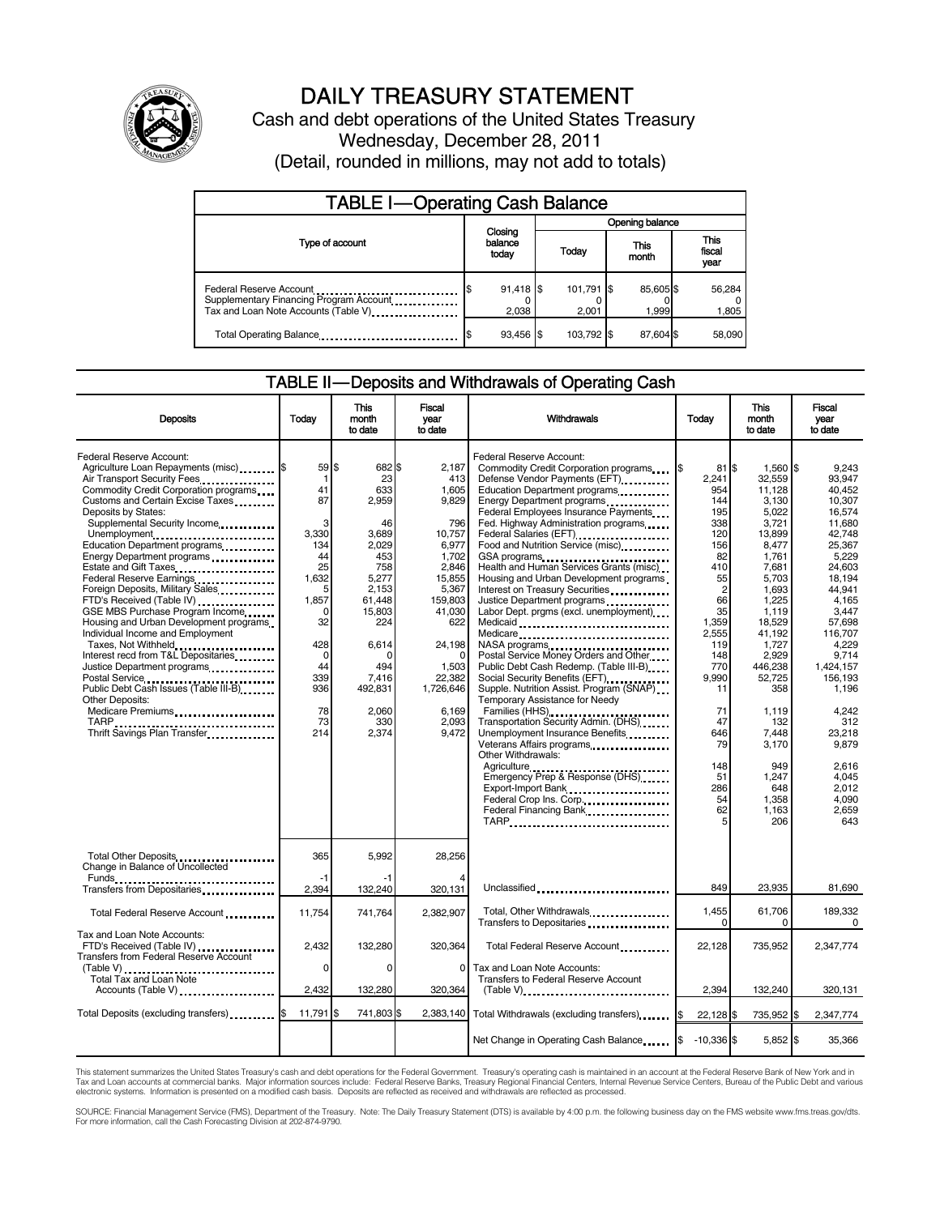

# DAILY TREASURY STATEMENT

Cash and debt operations of the United States Treasury Wednesday, December 28, 2011 (Detail, rounded in millions, may not add to totals)

| <b>TABLE I-Operating Cash Balance</b>                                                                      |                             |                     |                   |                        |  |  |  |
|------------------------------------------------------------------------------------------------------------|-----------------------------|---------------------|-------------------|------------------------|--|--|--|
|                                                                                                            |                             | Opening balance     |                   |                        |  |  |  |
| Type of account                                                                                            | Closing<br>balance<br>today | Today               | This<br>month     | This<br>fiscal<br>year |  |  |  |
| Federal Reserve Account<br>Supplementary Financing Program Account<br>Tax and Loan Note Accounts (Table V) | $91,418$ \$<br>2,038        | 101,791 \$<br>2.001 | 85,605\$<br>1,999 | 56,284<br>1,805        |  |  |  |
| Total Operating Balance                                                                                    | 93,456 \$                   | 103.792 \$          | 87.604 \$         | 58,090                 |  |  |  |

#### TABLE II — Deposits and Withdrawals of Operating Cash

| <b>Deposits</b>                                                                                                                                                                                                                                                                                                                                                                                                                                                                                                                                                                                                                                                                                                                                                                                         | Todav                                                                                                                                                  | <b>This</b><br>month<br>to date                                                                                                                                                          | <b>Fiscal</b><br>year<br>to date                                                                                                                                                                           | <b>Withdrawals</b>                                                                                                                                                                                                                                                                                                                                                                                                                                                                                                                                                                                                                                                                                                                                                                                                                                                                                                                                                                                  | Todav                                                                                                                                                                                                                     | <b>This</b><br>month<br>to date                                                                                                                                                                                                                                                      | <b>Fiscal</b><br>vear<br>to date                                                                                                                                                                                                                                                                    |
|---------------------------------------------------------------------------------------------------------------------------------------------------------------------------------------------------------------------------------------------------------------------------------------------------------------------------------------------------------------------------------------------------------------------------------------------------------------------------------------------------------------------------------------------------------------------------------------------------------------------------------------------------------------------------------------------------------------------------------------------------------------------------------------------------------|--------------------------------------------------------------------------------------------------------------------------------------------------------|------------------------------------------------------------------------------------------------------------------------------------------------------------------------------------------|------------------------------------------------------------------------------------------------------------------------------------------------------------------------------------------------------------|-----------------------------------------------------------------------------------------------------------------------------------------------------------------------------------------------------------------------------------------------------------------------------------------------------------------------------------------------------------------------------------------------------------------------------------------------------------------------------------------------------------------------------------------------------------------------------------------------------------------------------------------------------------------------------------------------------------------------------------------------------------------------------------------------------------------------------------------------------------------------------------------------------------------------------------------------------------------------------------------------------|---------------------------------------------------------------------------------------------------------------------------------------------------------------------------------------------------------------------------|--------------------------------------------------------------------------------------------------------------------------------------------------------------------------------------------------------------------------------------------------------------------------------------|-----------------------------------------------------------------------------------------------------------------------------------------------------------------------------------------------------------------------------------------------------------------------------------------------------|
| Federal Reserve Account:<br>Agriculture Loan Repayments (misc) \$<br>Air Transport Security Fees.<br>Commodity Credit Corporation programs<br>Customs and Certain Excise Taxes<br>Deposits by States:<br>Supplemental Security Income<br>Unemployment<br>Education Department programs<br>Energy Department programs<br>Estate and Gift Taxes<br><br>Federal Reserve Earnings<br>Foreign Deposits, Military Sales<br>FTD's Received (Table IV)<br>GSE MBS Purchase Program Income<br>Housing and Urban Development programs<br>Individual Income and Employment<br>Taxes, Not Withheld<br>Interest recd from T&L Depositaries<br>Justice Department programs<br>Postal Service<br>Public Debt Cash Issues (Table III-B)<br>Other Deposits:<br>Medicare Premiums<br>TARP<br>Thrift Savings Plan Transfer | 59 \$<br>1<br>41<br>87<br>3<br>3,330<br>134<br>44<br>25<br>1,632<br>5<br>1,857<br>0<br>32<br>428<br>$\mathbf 0$<br>44<br>339<br>936<br>78<br>73<br>214 | 682 \$<br>23<br>633<br>2,959<br>46<br>3,689<br>2.029<br>453<br>758<br>5,277<br>2,153<br>61,448<br>15,803<br>224<br>6,614<br>$\Omega$<br>494<br>7,416<br>492,831<br>2.060<br>330<br>2,374 | 2.187<br>413<br>1,605<br>9.829<br>796<br>10,757<br>6.977<br>1,702<br>2,846<br>15,855<br>5,367<br>159,803<br>41,030<br>622<br>24,198<br>$\Omega$<br>1,503<br>22,382<br>1,726,646<br>6,169<br>2,093<br>9,472 | Federal Reserve Account:<br>Commodity Credit Corporation programs<br>Defense Vendor Payments (EFT)<br>Education Department programs<br>Energy Department programs<br><br>Federal Employees Insurance Payments<br>Fed. Highway Administration programs<br>Federal Salaries (EFT)<br>Federal Salaries (EFT)<br>Food and Nutrition Service (misc)<br>Health and Human Services Grants (misc)<br>Housing and Urban Development programs<br>Interest on Treasury Securities<br>Labor Dept. prgms (excl. unemployment)<br>Medicaid<br>Medicare<br>Postal Service Money Orders and Other<br>Public Debt Cash Redemp. (Table III-B)<br>Social Security Benefits (EFT)<br>Supple. Nutrition Assist. Program (SNAP)<br>Temporary Assistance for Needy<br>Families (HHS)<br>Transportation Security Admin. (DHS)<br>Unemployment Insurance Benefits<br>Other Withdrawals:<br>Agriculture<br>Emergency Prep & Response (DHS)<br>Export-Import Bank<br>Federal Crop Ins. Corp.<br>Federal Financing Bank<br>TARP | $81$ S<br>2,241<br>954<br>144<br>195<br>338<br>120<br>156<br>82<br>410<br>55<br>$\overline{c}$<br>66<br>35<br>1.359<br>2,555<br>119<br>148<br>770<br>9,990<br>11<br>71<br>47<br>646<br>79<br>148<br>51<br>286<br>54<br>62 | 1,560 \$<br>32,559<br>11,128<br>3.130<br>5.022<br>3,721<br>13,899<br>8.477<br>1,761<br>7,681<br>5.703<br>1,693<br>1,225<br>1,119<br>18,529<br>41,192<br>1,727<br>2.929<br>446,238<br>52,725<br>358<br>1,119<br>132<br>7,448<br>3,170<br>949<br>1,247<br>648<br>1,358<br>1,163<br>206 | 9,243<br>93.947<br>40.452<br>10.307<br>16.574<br>11.680<br>42.748<br>25.367<br>5,229<br>24,603<br>18.194<br>44,941<br>4,165<br>3.447<br>57.698<br>116,707<br>4.229<br>9.714<br>1,424,157<br>156,193<br>1.196<br>4.242<br>312<br>23,218<br>9,879<br>2.616<br>4,045<br>2.012<br>4.090<br>2,659<br>643 |
| Total Other Deposits<br>Change in Balance of Uncollected                                                                                                                                                                                                                                                                                                                                                                                                                                                                                                                                                                                                                                                                                                                                                | 365                                                                                                                                                    | 5,992                                                                                                                                                                                    | 28,256                                                                                                                                                                                                     |                                                                                                                                                                                                                                                                                                                                                                                                                                                                                                                                                                                                                                                                                                                                                                                                                                                                                                                                                                                                     |                                                                                                                                                                                                                           |                                                                                                                                                                                                                                                                                      |                                                                                                                                                                                                                                                                                                     |
| Transfers from Depositaries                                                                                                                                                                                                                                                                                                                                                                                                                                                                                                                                                                                                                                                                                                                                                                             | -1<br>2,394                                                                                                                                            | 132,240                                                                                                                                                                                  | 320,131                                                                                                                                                                                                    | Unclassified                                                                                                                                                                                                                                                                                                                                                                                                                                                                                                                                                                                                                                                                                                                                                                                                                                                                                                                                                                                        | 849                                                                                                                                                                                                                       | 23,935                                                                                                                                                                                                                                                                               | 81,690                                                                                                                                                                                                                                                                                              |
| Total Federal Reserve Account                                                                                                                                                                                                                                                                                                                                                                                                                                                                                                                                                                                                                                                                                                                                                                           | 11,754                                                                                                                                                 | 741,764                                                                                                                                                                                  | 2.382.907                                                                                                                                                                                                  | Total, Other Withdrawals<br>Transfers to Depositaries                                                                                                                                                                                                                                                                                                                                                                                                                                                                                                                                                                                                                                                                                                                                                                                                                                                                                                                                               | 1,455<br>0                                                                                                                                                                                                                | 61,706<br>0                                                                                                                                                                                                                                                                          | 189.332<br>$\Omega$                                                                                                                                                                                                                                                                                 |
| Tax and Loan Note Accounts:<br>FTD's Received (Table IV)<br>Transfers from Federal Reserve Account                                                                                                                                                                                                                                                                                                                                                                                                                                                                                                                                                                                                                                                                                                      | 2,432                                                                                                                                                  | 132,280                                                                                                                                                                                  | 320,364                                                                                                                                                                                                    | Total Federal Reserve Account                                                                                                                                                                                                                                                                                                                                                                                                                                                                                                                                                                                                                                                                                                                                                                                                                                                                                                                                                                       | 22,128                                                                                                                                                                                                                    | 735,952                                                                                                                                                                                                                                                                              | 2,347,774                                                                                                                                                                                                                                                                                           |
| Total Tax and Loan Note<br>Accounts (Table V)                                                                                                                                                                                                                                                                                                                                                                                                                                                                                                                                                                                                                                                                                                                                                           | 0<br>2.432                                                                                                                                             | $\Omega$<br>132.280                                                                                                                                                                      | $\Omega$<br>320,364                                                                                                                                                                                        | Tax and Loan Note Accounts:<br><b>Transfers to Federal Reserve Account</b><br>$(Table V)$                                                                                                                                                                                                                                                                                                                                                                                                                                                                                                                                                                                                                                                                                                                                                                                                                                                                                                           | 2.394                                                                                                                                                                                                                     | 132,240                                                                                                                                                                                                                                                                              | 320.131                                                                                                                                                                                                                                                                                             |
| Total Deposits (excluding transfers)  \$                                                                                                                                                                                                                                                                                                                                                                                                                                                                                                                                                                                                                                                                                                                                                                | 11,791                                                                                                                                                 | 741,803 \$<br>ß.                                                                                                                                                                         |                                                                                                                                                                                                            | 2,383,140 Total Withdrawals (excluding transfers)                                                                                                                                                                                                                                                                                                                                                                                                                                                                                                                                                                                                                                                                                                                                                                                                                                                                                                                                                   | <b>1\$</b><br>22,128 \$                                                                                                                                                                                                   | 735,952 \$                                                                                                                                                                                                                                                                           | 2,347,774                                                                                                                                                                                                                                                                                           |
|                                                                                                                                                                                                                                                                                                                                                                                                                                                                                                                                                                                                                                                                                                                                                                                                         |                                                                                                                                                        |                                                                                                                                                                                          |                                                                                                                                                                                                            | Net Change in Operating Cash Balance                                                                                                                                                                                                                                                                                                                                                                                                                                                                                                                                                                                                                                                                                                                                                                                                                                                                                                                                                                | <b>1\$</b><br>$-10.336$ S                                                                                                                                                                                                 | $5,852$ \$                                                                                                                                                                                                                                                                           | 35,366                                                                                                                                                                                                                                                                                              |

This statement summarizes the United States Treasury's cash and debt operations for the Federal Government. Treasury's operating cash is maintained in an account at the Federal Reserve Bank of New York and in<br>Tax and Loan

SOURCE: Financial Management Service (FMS), Department of the Treasury. Note: The Daily Treasury Statement (DTS) is available by 4:00 p.m. the following business day on the FMS website www.fms.treas.gov/dts.<br>For more infor